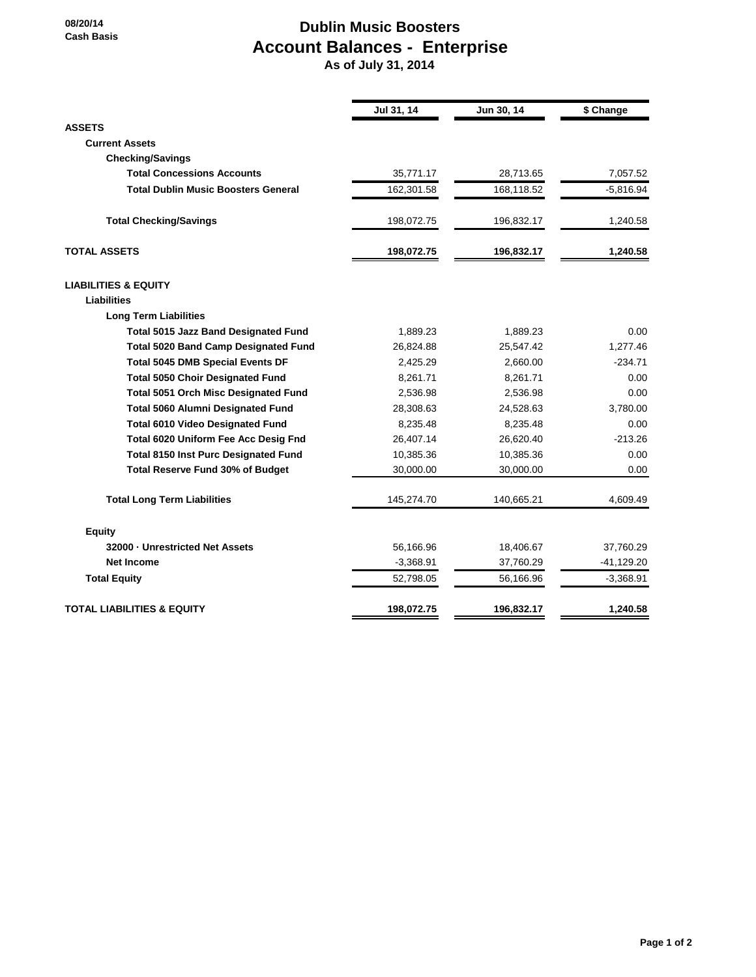## **Dublin Music Boosters Account Balances - Enterprise**

 **As of July 31, 2014**

|                                             | Jul 31, 14  | Jun 30, 14 | \$ Change   |
|---------------------------------------------|-------------|------------|-------------|
| <b>ASSETS</b>                               |             |            |             |
| <b>Current Assets</b>                       |             |            |             |
| <b>Checking/Savings</b>                     |             |            |             |
| <b>Total Concessions Accounts</b>           | 35,771.17   | 28,713.65  | 7,057.52    |
| <b>Total Dublin Music Boosters General</b>  | 162,301.58  | 168,118.52 | $-5,816.94$ |
| <b>Total Checking/Savings</b>               | 198,072.75  | 196,832.17 | 1,240.58    |
| <b>TOTAL ASSETS</b>                         | 198,072.75  | 196,832.17 | 1,240.58    |
| <b>LIABILITIES &amp; EQUITY</b>             |             |            |             |
| <b>Liabilities</b>                          |             |            |             |
| <b>Long Term Liabilities</b>                |             |            |             |
| <b>Total 5015 Jazz Band Designated Fund</b> | 1,889.23    | 1,889.23   | 0.00        |
| <b>Total 5020 Band Camp Designated Fund</b> | 26,824.88   | 25,547.42  | 1,277.46    |
| <b>Total 5045 DMB Special Events DF</b>     | 2,425.29    | 2,660.00   | $-234.71$   |
| <b>Total 5050 Choir Designated Fund</b>     | 8,261.71    | 8,261.71   | 0.00        |
| Total 5051 Orch Misc Designated Fund        | 2,536.98    | 2,536.98   | 0.00        |
| <b>Total 5060 Alumni Designated Fund</b>    | 28,308.63   | 24,528.63  | 3,780.00    |
| <b>Total 6010 Video Designated Fund</b>     | 8,235.48    | 8,235.48   | 0.00        |
| Total 6020 Uniform Fee Acc Desig Fnd        | 26,407.14   | 26,620.40  | $-213.26$   |
| <b>Total 8150 Inst Purc Designated Fund</b> | 10,385.36   | 10,385.36  | 0.00        |
| <b>Total Reserve Fund 30% of Budget</b>     | 30,000.00   | 30,000.00  | 0.00        |
| <b>Total Long Term Liabilities</b>          | 145,274.70  | 140,665.21 | 4,609.49    |
| <b>Equity</b>                               |             |            |             |
| 32000 - Unrestricted Net Assets             | 56,166.96   | 18,406.67  | 37,760.29   |
| <b>Net Income</b>                           | $-3,368.91$ | 37,760.29  | -41,129.20  |
| <b>Total Equity</b>                         | 52,798.05   | 56,166.96  | $-3,368.91$ |
| TOTAL LIABILITIES & EQUITY                  | 198,072.75  | 196,832.17 | 1,240.58    |